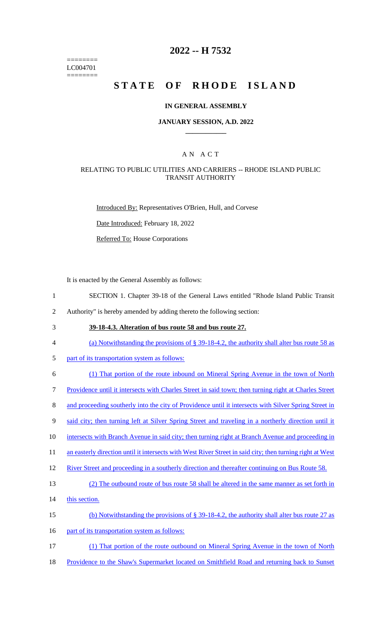======== LC004701 ========

# **2022 -- H 7532**

# **STATE OF RHODE ISLAND**

### **IN GENERAL ASSEMBLY**

### **JANUARY SESSION, A.D. 2022 \_\_\_\_\_\_\_\_\_\_\_\_**

### A N A C T

### RELATING TO PUBLIC UTILITIES AND CARRIERS -- RHODE ISLAND PUBLIC TRANSIT AUTHORITY

Introduced By: Representatives O'Brien, Hull, and Corvese

Date Introduced: February 18, 2022

Referred To: House Corporations

It is enacted by the General Assembly as follows:

- 1 SECTION 1. Chapter 39-18 of the General Laws entitled "Rhode Island Public Transit
- 2 Authority" is hereby amended by adding thereto the following section:
- 

# 3 **39-18-4.3. Alteration of bus route 58 and bus route 27.**

- 4 (a) Notwithstanding the provisions of § 39-18-4.2, the authority shall alter bus route 58 as
- 5 part of its transportation system as follows:
- 6 (1) That portion of the route inbound on Mineral Spring Avenue in the town of North
- 7 Providence until it intersects with Charles Street in said town; then turning right at Charles Street
- 8 and proceeding southerly into the city of Providence until it intersects with Silver Spring Street in
- 9 said city; then turning left at Silver Spring Street and traveling in a northerly direction until it
- 10 intersects with Branch Avenue in said city; then turning right at Branch Avenue and proceeding in
- 11 an easterly direction until it intersects with West River Street in said city; then turning right at West
- 12 River Street and proceeding in a southerly direction and thereafter continuing on Bus Route 58.

#### 13 (2) The outbound route of bus route 58 shall be altered in the same manner as set forth in

- 14 this section.
- 15 (b) Notwithstanding the provisions of § 39-18-4.2, the authority shall alter bus route 27 as
- 16 part of its transportation system as follows:
- 17 (1) That portion of the route outbound on Mineral Spring Avenue in the town of North
- 18 Providence to the Shaw's Supermarket located on Smithfield Road and returning back to Sunset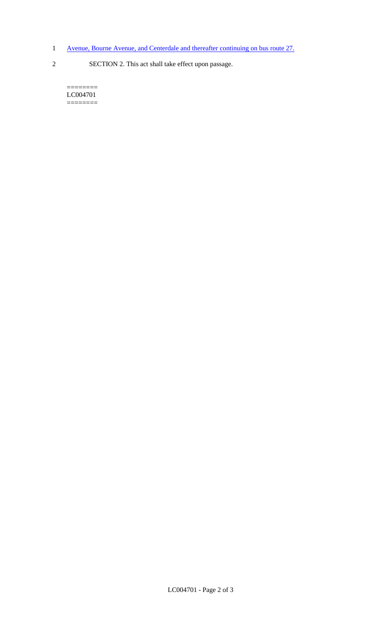- 1 Avenue, Bourne Avenue, and Centerdale and thereafter continuing on bus route 27.
- 2 SECTION 2. This act shall take effect upon passage.

======== LC004701  $=$